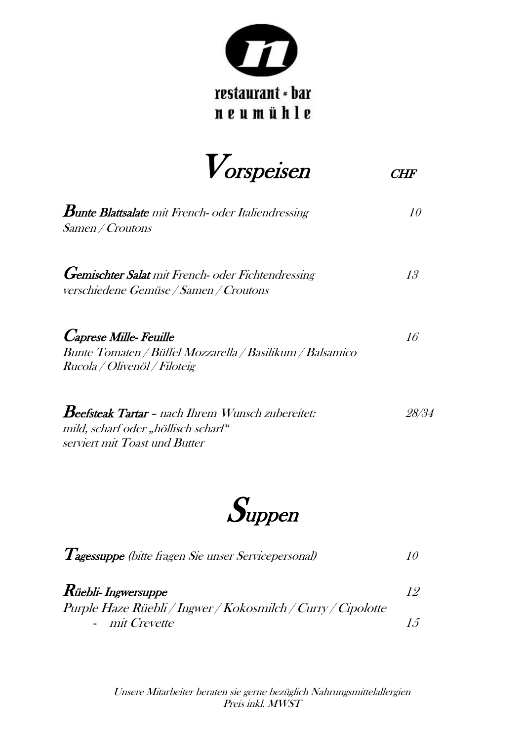

 $V$ orspeisen CHF

**Bunte Blattsalate** mit French- oder Italiendressing  $10$ Samen / Croutons Gemischter Salat mit French- oder Fichtendressing 13 verschiedene Gemüse / Samen / Croutons  $C$ aprese Mille- Feuille  $16$ Bunte Tomaten / Büffel Mozzarella / Basilikum / Balsamico Rucola / Olivenöl / Filoteig  $\boldsymbol{B}$ eefsteak Tartar – nach Ihrem Wunsch zubereitet: 28/34 mild, scharf oder "höllisch scharf"

**Suppen** 

serviert mit Toast und Butter

| <i>Tagessuppe</i> (bitte fragen Sie unser Servicepersonal)                     |  |
|--------------------------------------------------------------------------------|--|
| $\boldsymbol{R}$ üebli- Ingwersuppe                                            |  |
| Purple Haze Rüebli / Ingwer / Kokosmilch / Curry / Cipolotte<br>- mit Crevette |  |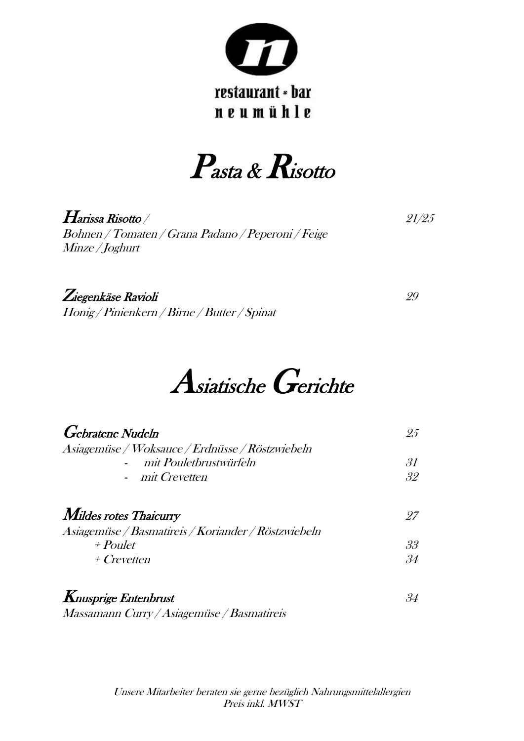

Pasta & Risotto

 $\boldsymbol{H}$ arissa Risotto /  $\boldsymbol{21/25}$ Bohnen / Tomaten / Grana Padano / Peperoni / Feige Minze / Joghurt

Ziegenkäse Ravioli 29 Honig / Pinienkern / Birne / Butter / Spinat

## Asiatische Gerichte

| <b>Gebratene</b> Nudeln                             | 25                 |
|-----------------------------------------------------|--------------------|
| Asiagemüse / Woksauce / Erdnüsse / Röstzwiebeln     |                    |
| mit Pouletbrustwürfeln                              | 31                 |
| - mit Crevetten                                     | 32                 |
| <b>Mildes rotes Thaicurry</b>                       | -97                |
| Asiagemüse / Basmatireis / Koriander / Röstzwiebeln |                    |
| $+$ Poulet                                          | 33                 |
| $+$ Crevetten                                       | 34                 |
| $m_{\text{max}}$ $E_{\text{max}}$ $L_{\text{max}}$  | $\Omega$ $\Lambda$ |

**K**nusprige Entenbrust 34 Massamann Curry / Asiagemüse / Basmatireis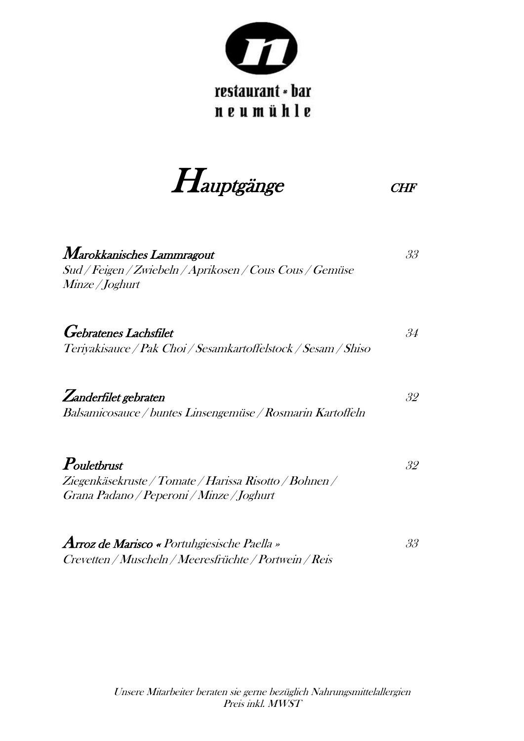

Hauptgänge CHF

| Marokkanisches Lammragout<br>Sud / Feigen / Zwiebeln / Aprikosen / Cous Cous / Gemüse<br><i>Minze / Joghurt</i>    | 33 |
|--------------------------------------------------------------------------------------------------------------------|----|
| <b>Gebratenes Lachsfilet</b><br>Teriyakisauce / Pak Choi / Sesamkartoffelstock / Sesam / Shiso                     | 34 |
| Zanderfilet gebraten<br>Balsamicosauce / buntes Linsengemüse / Rosmarin Kartoffeln                                 | 32 |
| Pouletbrust<br>Ziegenkäsekruste / Tomate / Harissa Risotto / Bohnen /<br>Grana Padano / Peperoni / Minze / Joghurt | 32 |
| <b>Arroz de Marisco «</b> Portuhgiesische Paella »                                                                 | 33 |

Crevetten / Muscheln / Meeresfrüchte / Portwein / Reis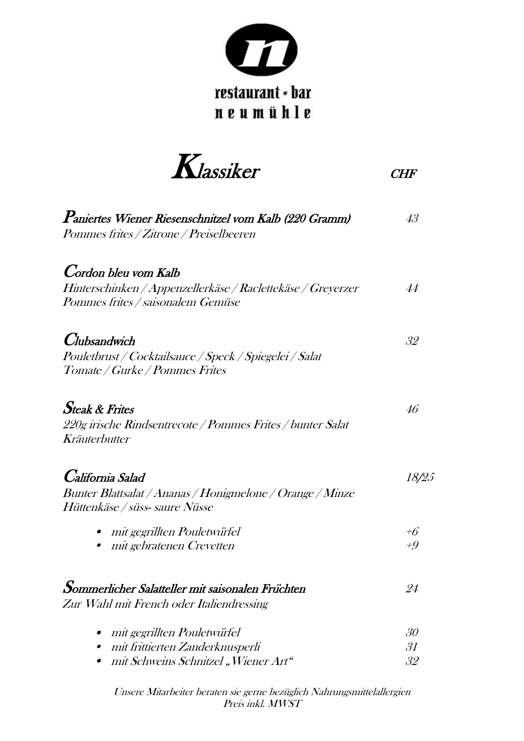

### restaurant \* bar neumühle

Klassiker CHF

| Paniertes Wiener Riesenschnitzel vom Kalb (220 Gramm)<br>Pommes frites / Zitrone / Preiselbeeren                         | 43             |
|--------------------------------------------------------------------------------------------------------------------------|----------------|
| Cordon bleu vom Kalb<br>Hinterschinken / Appenzellerkäse / Raclettekäse / Greyerzer<br>Pommes frites / saisonalem Gemüse | 44             |
| <i>Clubsandwich</i><br>Pouletbrust / Cocktailsauce / Speck / Spiegelei / Salat<br>Tomate / Gurke / Pommes Frites         | 32             |
| <b>Steak &amp; Frites</b><br>220g irische Rindsentrecote / Pommes Frites / bunter Salat<br>Kräuterbutter                 | 46             |
| California Salad<br>Bunter Blattsalat / Ananas / Honigmelone / Orange / Minze<br>Hüttenkäse / süss- saure Nüsse          | 18/25          |
| mit gegrillten Pouletwürfel<br>mit gebratenen Crevetten                                                                  | $+6$<br>$+9$   |
| Sommerlicher Salatteller mit saisonalen Früchten<br>Zur Wahl mit French oder Italiendressing                             | 24             |
| mit gegrillten Pouletwürfel<br>mit frittierten Zanderknusperli<br>mit Schweins Schnitzel "Wiener Art"                    | 30<br>31<br>32 |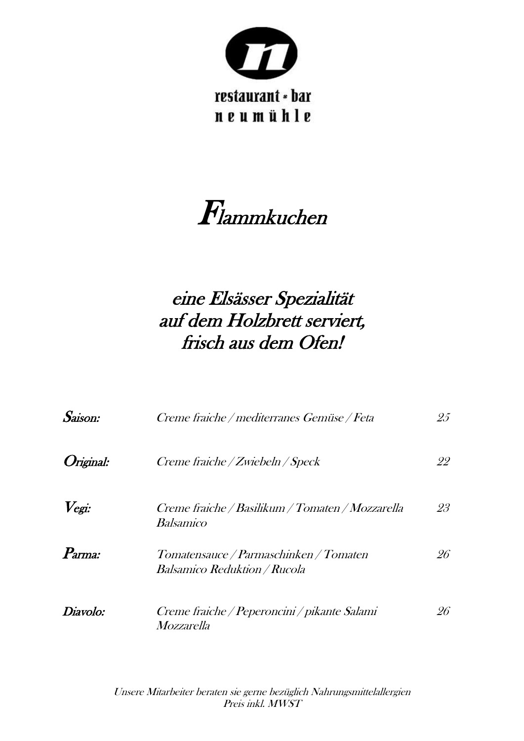

# Flammkuchen

## eine Elsässer Spezialität auf dem Holzbrett serviert, frisch aus dem Ofen!

| Saison:                 | Creme fraiche / mediterranes Gemüse / Feta                                    | 25 |
|-------------------------|-------------------------------------------------------------------------------|----|
| <i><b>Original:</b></i> | Creme fraiche / Zwiebeln / Speck                                              | 22 |
| $V$ egi:                | Creme fraiche / Basilikum / Tomaten / Mozzarella<br><i>Balsamico</i>          | 23 |
| Parma:                  | Tomatensauce / Parmaschinken / Tomaten<br><i>Balsamico Reduktion / Rucola</i> | 26 |
| Diavolo:                | Creme fraiche / Peperoncini / pikante Salami<br>Mozzarella                    | 26 |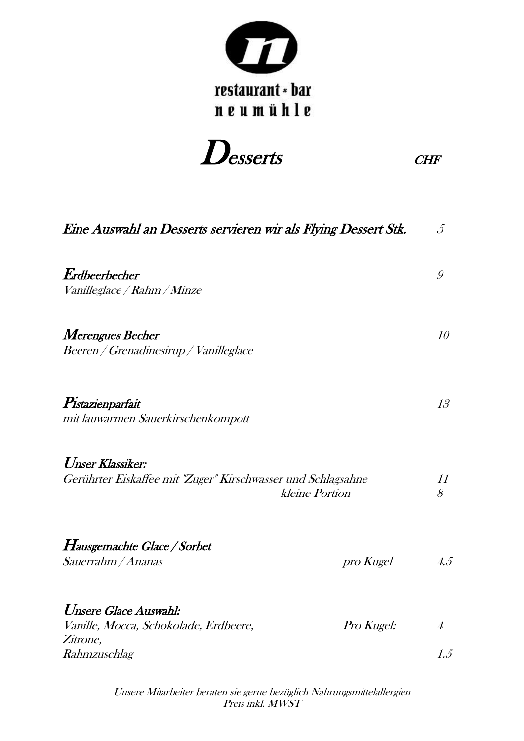

Desserts CHF

| Eine Auswahl an Desserts servieren wir als Flying Dessert Stk.                                     |            | $\mathcal{J}_{0}$ |
|----------------------------------------------------------------------------------------------------|------------|-------------------|
| $\emph{Endheerbecher}$<br>Vanilleglace / Rahm / Minze                                              |            | 9                 |
| Merengues Becher<br>Beeren / Grenadinesirup / Vanilleglace                                         |            | 10                |
| Pistazienparfait<br>mit lauwarmen Sauerkirschenkompott                                             |            | 13                |
| Unser Klassiker:<br>Gerührter Eiskaffee mit "Zuger" Kirschwasser und Schlagsahne<br>kleine Portion |            | 11<br>8           |
| <i>Hausgemachte Glace / Sorbet</i>                                                                 |            |                   |
| Sauerrahm / Ananas                                                                                 | pro Kugel  | 4.5               |
| Unsere Glace Auswahl:<br>Vanille, Mocca, Schokolade, Erdbeere,                                     | Pro Kugel: | $\overline{4}$    |
| Zitrone,<br>Rahmzuschlag                                                                           |            | 1.5               |
|                                                                                                    |            |                   |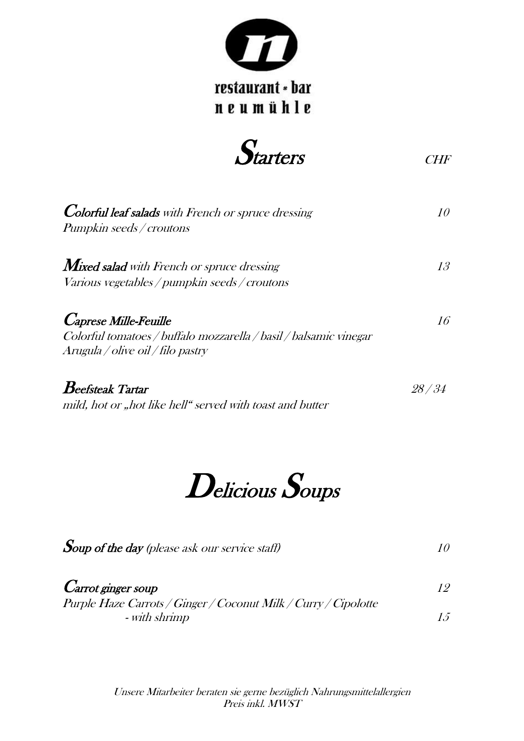



| Colorful leaf salads with French or spruce dressing<br><i>Pumpkin seeds / croutons</i>                 |    |
|--------------------------------------------------------------------------------------------------------|----|
| $\emph{Mixed}$ salad with French or spruce dressing                                                    | 13 |
| Various vegetables / pumpkin seeds / croutons                                                          |    |
| <i>Caprese Mille-Feuille</i>                                                                           | 16 |
| Colorful tomatoes / buffalo mozzarella / basil / balsamic vinegar<br>Arugula / olive oil / filo pastry |    |
| $\boldsymbol{B}$ eefsteak Tartar                                                                       |    |

mild, hot or "hot like hell" served with toast and butter

# Delicious Soups

| $\emph{Sup of the day (please ask our service staff)}$ |  |
|--------------------------------------------------------|--|
|                                                        |  |
| $\mathcal{C}$ . $\cdot$                                |  |

**Carrot ginger soup** 12 Purple Haze Carrots / Ginger / Coconut Milk / Curry / Cipolotte - with shrimp  $15$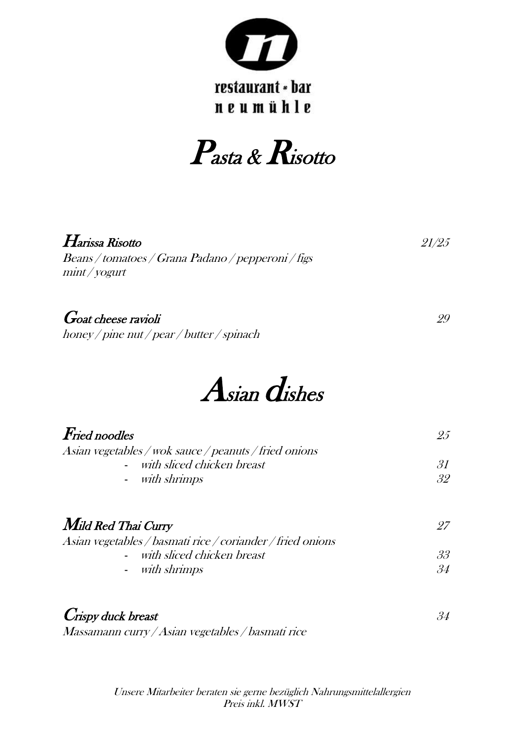

### restaurant \* bar neumühle

Pasta & Risotto

| Harissa Risotto<br>Beans / tomatoes / Grana Padano / pepperoni / figs<br>$min$ / yogurt | 21/25    |
|-----------------------------------------------------------------------------------------|----------|
| <b>Goat cheese ravioli</b><br>honey/pine nut/pear/butter/spinach                        | 29       |
| $A$ sian $d$ ishes                                                                      |          |
| <b>Fried noodles</b><br>Asian vegetables / wok sauce / peanuts / fried onions           | 25       |
| with sliced chicken breast<br>with shrimps                                              | 31<br>32 |
| Mild Red Thai Curry                                                                     | 27       |

| Asian vegetables / basmati rice / coriander / fried onions |    |
|------------------------------------------------------------|----|
| - with sliced chicken breast                               | 33 |
| - with shrimps                                             | 34 |
|                                                            |    |

#### **Crispy duck breast** 34

Massamann curry / Asian vegetables / basmati rice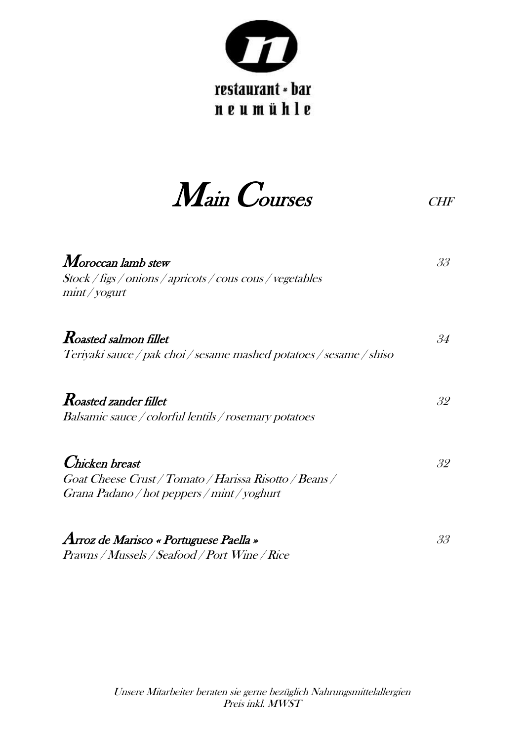

Main Courses CHF

| Moroccan lamb stew<br>Stock / figs / onions / apricots / cous cous / vegetables<br>$min$ / yogurt                       | 33 |
|-------------------------------------------------------------------------------------------------------------------------|----|
| <b>Roasted salmon fillet</b><br>Teriyaki sauce / pak choi / sesame mashed potatoes / sesame / shiso                     | 34 |
| <b>Roasted zander fillet</b><br>Balsamic sauce / colorful lentils / rosemary potatoes                                   | 32 |
| Chicken breast<br>Goat Cheese Crust / Tomato / Harissa Risotto / Beans /<br>Grana Padano / hot peppers / mint / yoghurt | 32 |
| Arroz de Marisco « Portuguese Paella »                                                                                  | 33 |

Prawns / Mussels / Seafood / Port Wine / Rice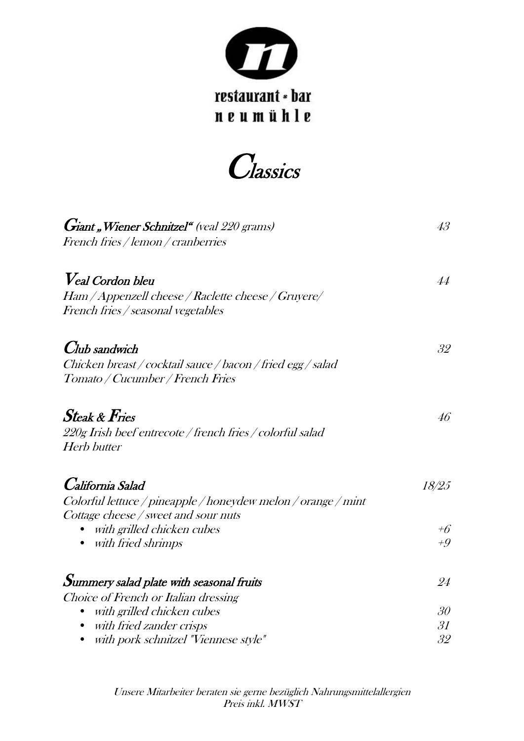

**Classics** 

| Giant "Wiener Schnitzel" (veal 220 grams)                     | 43 <sup>°</sup> |
|---------------------------------------------------------------|-----------------|
| French fries / lemon / cranberries                            |                 |
| <b>V</b> eal Cordon bleu                                      | 44              |
| Ham / Appenzell cheese / Raclette cheese / Gruyere/           |                 |
| French fries / seasonal vegetables                            |                 |
| <b>Club</b> sandwich                                          | 32              |
| Chicken breast / cocktail sauce / bacon / fried egg / salad   |                 |
| Tomato / Cucumber / French Fries                              |                 |
| $\emph{Steak}$ & $\emph{Fries}$                               | 46              |
| 220g Irish beef entrecote / french fries / colorful salad     |                 |
| <b>Herb butter</b>                                            |                 |
| California Salad                                              | 18/25           |
| Colorful lettuce / pineapple / honeydew melon / orange / mint |                 |
| Cottage cheese / sweet and sour nuts                          |                 |
| with grilled chicken cubes                                    | $+6$            |
| with fried shrimps                                            | $+9$            |
| Summery salad plate with seasonal fruits                      | 24              |
| Choice of French or Italian dressing                          |                 |
| with grilled chicken cubes                                    | 30 <sup>°</sup> |
| with fried zander crisps                                      | 31              |
| with pork schnitzel "Viennese style"                          | 32              |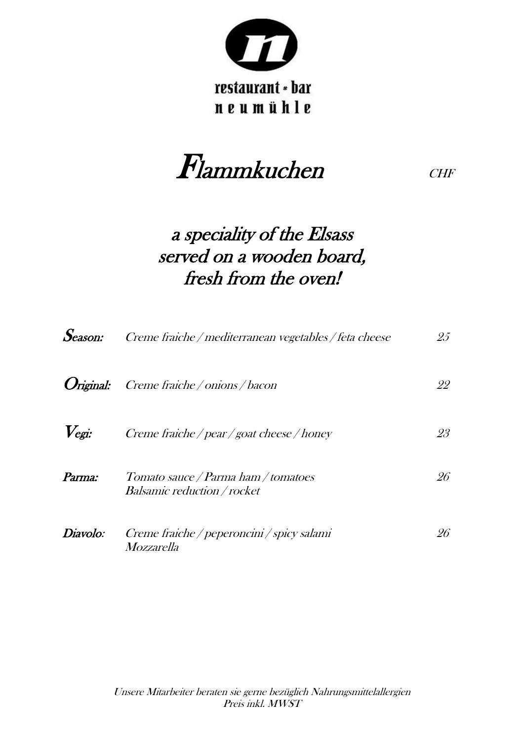

### restaurant \* bar neumühle

Flammkuchen CHF

### a speciality of the Elsass served on a wooden board, fresh from the oven!

| Season:                 | Creme fraiche / mediterranean vegetables / feta cheese                    | 25 |
|-------------------------|---------------------------------------------------------------------------|----|
| <i><b>Original:</b></i> | Creme fraiche / onions / bacon                                            | 22 |
| $V_{\text{egi}}$ :      | Creme fraiche / pear / goat cheese / honey                                | 23 |
| Parma:                  | Tomato sauce / Parma ham / tomatoes<br><i>Balsamic reduction / rocket</i> | 26 |
| Diavolo:                | Creme fraiche / peperoncini / spicy salami<br><i>Mozzarella</i>           | 26 |